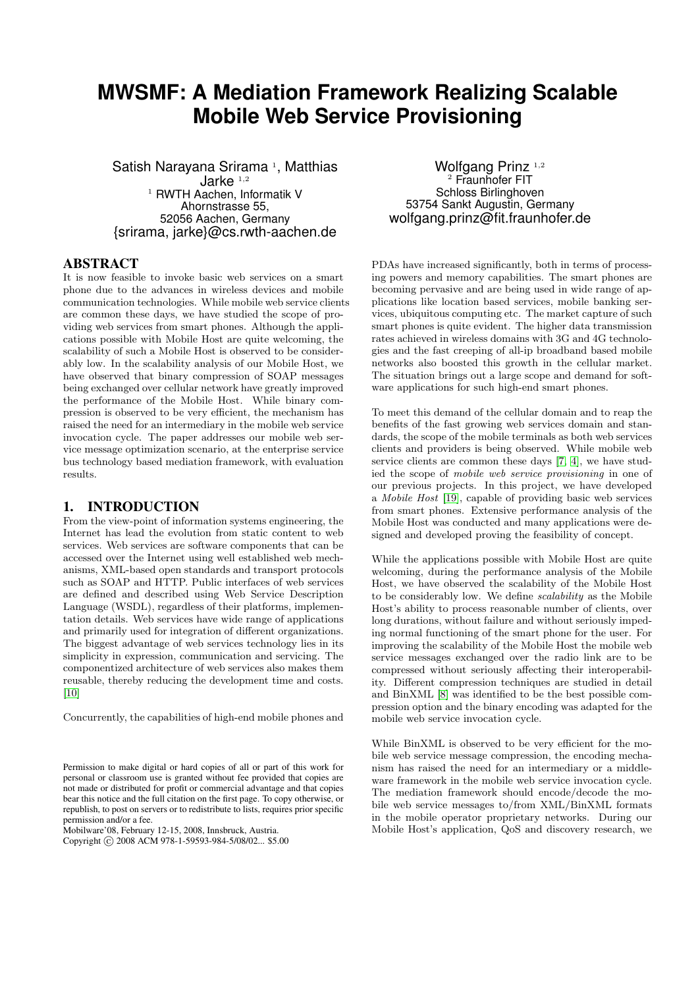# **MWSMF: A Mediation Framework Realizing Scalable Mobile Web Service Provisioning**

Satish Narayana Srirama<sup>1</sup>, Matthias Jarke $1,2$ <sup>1</sup> RWTH Aachen, Informatik V Ahornstrasse 55, 52056 Aachen, Germany {srirama, jarke}@cs.rwth-aachen.de

## ABSTRACT

It is now feasible to invoke basic web services on a smart phone due to the advances in wireless devices and mobile communication technologies. While mobile web service clients are common these days, we have studied the scope of providing web services from smart phones. Although the applications possible with Mobile Host are quite welcoming, the scalability of such a Mobile Host is observed to be considerably low. In the scalability analysis of our Mobile Host, we have observed that binary compression of SOAP messages being exchanged over cellular network have greatly improved the performance of the Mobile Host. While binary compression is observed to be very efficient, the mechanism has raised the need for an intermediary in the mobile web service invocation cycle. The paper addresses our mobile web service message optimization scenario, at the enterprise service bus technology based mediation framework, with evaluation results.

#### 1. INTRODUCTION

From the view-point of information systems engineering, the Internet has lead the evolution from static content to web services. Web services are software components that can be accessed over the Internet using well established web mechanisms, XML-based open standards and transport protocols such as SOAP and HTTP. Public interfaces of web services are defined and described using Web Service Description Language (WSDL), regardless of their platforms, implementation details. Web services have wide range of applications and primarily used for integration of different organizations. The biggest advantage of web services technology lies in its simplicity in expression, communication and servicing. The componentized architecture of web services also makes them reusable, thereby reducing the development time and costs. [\[10\]](#page-6-0)

Concurrently, the capabilities of high-end mobile phones and

Mobilware'08, February 12-15, 2008, Innsbruck, Austria.

Wolfgang Prinz<sup>1,2</sup>  $2$  Fraunhofer FIT Schloss Birlinghoven 53754 Sankt Augustin, Germany wolfgang.prinz@fit.fraunhofer.de

PDAs have increased significantly, both in terms of processing powers and memory capabilities. The smart phones are becoming pervasive and are being used in wide range of applications like location based services, mobile banking services, ubiquitous computing etc. The market capture of such smart phones is quite evident. The higher data transmission rates achieved in wireless domains with 3G and 4G technologies and the fast creeping of all-ip broadband based mobile networks also boosted this growth in the cellular market. The situation brings out a large scope and demand for software applications for such high-end smart phones.

To meet this demand of the cellular domain and to reap the benefits of the fast growing web services domain and standards, the scope of the mobile terminals as both web services clients and providers is being observed. While mobile web service clients are common these days [\[7,](#page-6-1) [4\]](#page-6-2), we have studied the scope of mobile web service provisioning in one of our previous projects. In this project, we have developed a Mobile Host [\[19\]](#page-6-3), capable of providing basic web services from smart phones. Extensive performance analysis of the Mobile Host was conducted and many applications were designed and developed proving the feasibility of concept.

While the applications possible with Mobile Host are quite welcoming, during the performance analysis of the Mobile Host, we have observed the scalability of the Mobile Host to be considerably low. We define scalability as the Mobile Host's ability to process reasonable number of clients, over long durations, without failure and without seriously impeding normal functioning of the smart phone for the user. For improving the scalability of the Mobile Host the mobile web service messages exchanged over the radio link are to be compressed without seriously affecting their interoperability. Different compression techniques are studied in detail and BinXML [\[8\]](#page-6-4) was identified to be the best possible compression option and the binary encoding was adapted for the mobile web service invocation cycle.

While BinXML is observed to be very efficient for the mobile web service message compression, the encoding mechanism has raised the need for an intermediary or a middleware framework in the mobile web service invocation cycle. The mediation framework should encode/decode the mobile web service messages to/from XML/BinXML formats in the mobile operator proprietary networks. During our Mobile Host's application, QoS and discovery research, we

Permission to make digital or hard copies of all or part of this work for personal or classroom use is granted without fee provided that copies are not made or distributed for profit or commercial advantage and that copies bear this notice and the full citation on the first page. To copy otherwise, or republish, to post on servers or to redistribute to lists, requires prior specific permission and/or a fee.

Copyright © 2008 ACM 978-1-59593-984-5/08/02... \$5.00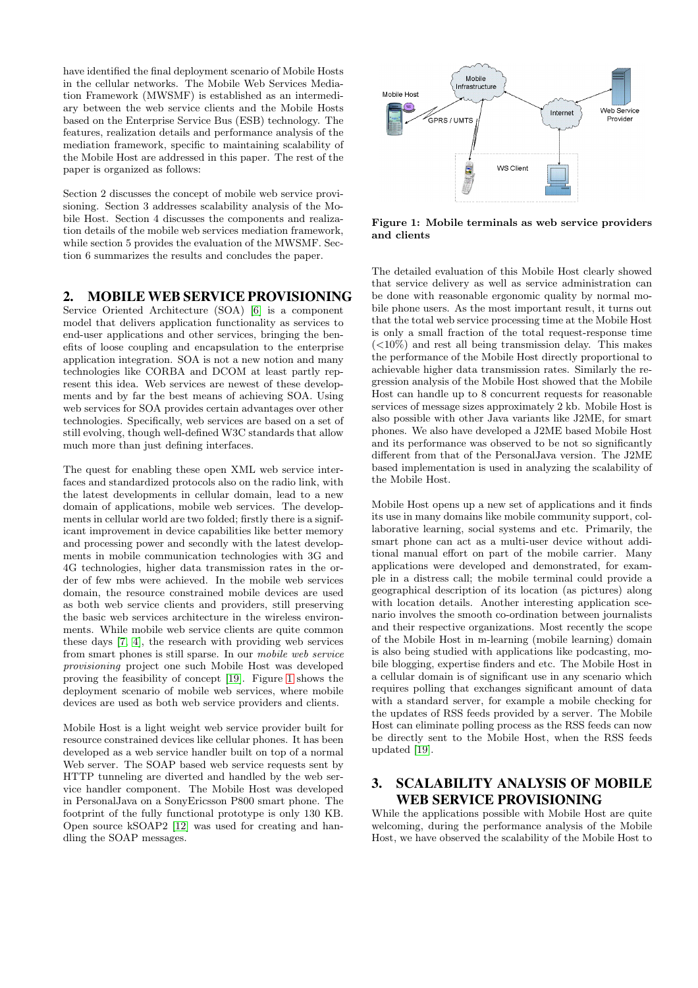have identified the final deployment scenario of Mobile Hosts in the cellular networks. The Mobile Web Services Mediation Framework (MWSMF) is established as an intermediary between the web service clients and the Mobile Hosts based on the Enterprise Service Bus (ESB) technology. The features, realization details and performance analysis of the mediation framework, specific to maintaining scalability of the Mobile Host are addressed in this paper. The rest of the paper is organized as follows:

Section 2 discusses the concept of mobile web service provisioning. Section 3 addresses scalability analysis of the Mobile Host. Section 4 discusses the components and realization details of the mobile web services mediation framework, while section 5 provides the evaluation of the MWSMF. Section 6 summarizes the results and concludes the paper.

## 2. MOBILE WEB SERVICE PROVISIONING

Service Oriented Architecture (SOA) [\[6\]](#page-6-5) is a component model that delivers application functionality as services to end-user applications and other services, bringing the benefits of loose coupling and encapsulation to the enterprise application integration. SOA is not a new notion and many technologies like CORBA and DCOM at least partly represent this idea. Web services are newest of these developments and by far the best means of achieving SOA. Using web services for SOA provides certain advantages over other technologies. Specifically, web services are based on a set of still evolving, though well-defined W3C standards that allow much more than just defining interfaces.

The quest for enabling these open XML web service interfaces and standardized protocols also on the radio link, with the latest developments in cellular domain, lead to a new domain of applications, mobile web services. The developments in cellular world are two folded; firstly there is a significant improvement in device capabilities like better memory and processing power and secondly with the latest developments in mobile communication technologies with 3G and 4G technologies, higher data transmission rates in the order of few mbs were achieved. In the mobile web services domain, the resource constrained mobile devices are used as both web service clients and providers, still preserving the basic web services architecture in the wireless environments. While mobile web service clients are quite common these days [\[7,](#page-6-1) [4\]](#page-6-2), the research with providing web services from smart phones is still sparse. In our mobile web service provisioning project one such Mobile Host was developed proving the feasibility of concept [\[19\]](#page-6-3). Figure [1](#page-1-0) shows the deployment scenario of mobile web services, where mobile devices are used as both web service providers and clients.

Mobile Host is a light weight web service provider built for resource constrained devices like cellular phones. It has been developed as a web service handler built on top of a normal Web server. The SOAP based web service requests sent by HTTP tunneling are diverted and handled by the web service handler component. The Mobile Host was developed in PersonalJava on a SonyEricsson P800 smart phone. The footprint of the fully functional prototype is only 130 KB. Open source kSOAP2 [\[12\]](#page-6-6) was used for creating and handling the SOAP messages.



<span id="page-1-0"></span>Figure 1: Mobile terminals as web service providers and clients

The detailed evaluation of this Mobile Host clearly showed that service delivery as well as service administration can be done with reasonable ergonomic quality by normal mobile phone users. As the most important result, it turns out that the total web service processing time at the Mobile Host is only a small fraction of the total request-response time  $(<10\%)$  and rest all being transmission delay. This makes the performance of the Mobile Host directly proportional to achievable higher data transmission rates. Similarly the regression analysis of the Mobile Host showed that the Mobile Host can handle up to 8 concurrent requests for reasonable services of message sizes approximately 2 kb. Mobile Host is also possible with other Java variants like J2ME, for smart phones. We also have developed a J2ME based Mobile Host and its performance was observed to be not so significantly different from that of the PersonalJava version. The J2ME based implementation is used in analyzing the scalability of the Mobile Host.

Mobile Host opens up a new set of applications and it finds its use in many domains like mobile community support, collaborative learning, social systems and etc. Primarily, the smart phone can act as a multi-user device without additional manual effort on part of the mobile carrier. Many applications were developed and demonstrated, for example in a distress call; the mobile terminal could provide a geographical description of its location (as pictures) along with location details. Another interesting application scenario involves the smooth co-ordination between journalists and their respective organizations. Most recently the scope of the Mobile Host in m-learning (mobile learning) domain is also being studied with applications like podcasting, mobile blogging, expertise finders and etc. The Mobile Host in a cellular domain is of significant use in any scenario which requires polling that exchanges significant amount of data with a standard server, for example a mobile checking for the updates of RSS feeds provided by a server. The Mobile Host can eliminate polling process as the RSS feeds can now be directly sent to the Mobile Host, when the RSS feeds updated [\[19\]](#page-6-3).

### 3. SCALABILITY ANALYSIS OF MOBILE WEB SERVICE PROVISIONING

While the applications possible with Mobile Host are quite welcoming, during the performance analysis of the Mobile Host, we have observed the scalability of the Mobile Host to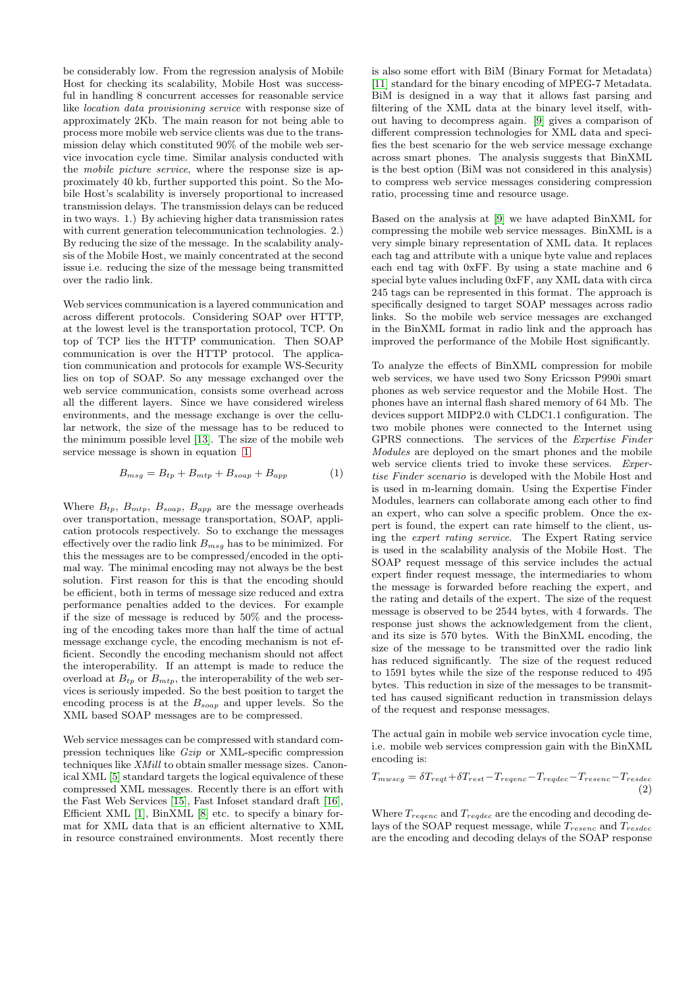be considerably low. From the regression analysis of Mobile Host for checking its scalability, Mobile Host was successful in handling 8 concurrent accesses for reasonable service like location data provisioning service with response size of approximately 2Kb. The main reason for not being able to process more mobile web service clients was due to the transmission delay which constituted 90% of the mobile web service invocation cycle time. Similar analysis conducted with the mobile picture service, where the response size is approximately 40 kb, further supported this point. So the Mobile Host's scalability is inversely proportional to increased transmission delays. The transmission delays can be reduced in two ways. 1.) By achieving higher data transmission rates with current generation telecommunication technologies. 2.) By reducing the size of the message. In the scalability analysis of the Mobile Host, we mainly concentrated at the second issue i.e. reducing the size of the message being transmitted over the radio link.

Web services communication is a layered communication and across different protocols. Considering SOAP over HTTP, at the lowest level is the transportation protocol, TCP. On top of TCP lies the HTTP communication. Then SOAP communication is over the HTTP protocol. The application communication and protocols for example WS-Security lies on top of SOAP. So any message exchanged over the web service communication, consists some overhead across all the different layers. Since we have considered wireless environments, and the message exchange is over the cellular network, the size of the message has to be reduced to the minimum possible level [\[13\]](#page-6-7). The size of the mobile web service message is shown in equation [1.](#page-2-0)

$$
B_{msg} = B_{tp} + B_{mtp} + B_{soap} + B_{app} \tag{1}
$$

<span id="page-2-0"></span>Where  $B_{tp}$ ,  $B_{mtp}$ ,  $B_{soup}$ ,  $B_{app}$  are the message overheads over transportation, message transportation, SOAP, application protocols respectively. So to exchange the messages effectively over the radio link  $B_{msg}$  has to be minimized. For this the messages are to be compressed/encoded in the optimal way. The minimal encoding may not always be the best solution. First reason for this is that the encoding should be efficient, both in terms of message size reduced and extra performance penalties added to the devices. For example if the size of message is reduced by 50% and the processing of the encoding takes more than half the time of actual message exchange cycle, the encoding mechanism is not efficient. Secondly the encoding mechanism should not affect the interoperability. If an attempt is made to reduce the overload at  $B_{tp}$  or  $B_{mtp}$ , the interoperability of the web services is seriously impeded. So the best position to target the encoding process is at the  $B_{soap}$  and upper levels. So the XML based SOAP messages are to be compressed.

Web service messages can be compressed with standard compression techniques like Gzip or XML-specific compression techniques like XMill to obtain smaller message sizes. Canonical XML [\[5\]](#page-6-8) standard targets the logical equivalence of these compressed XML messages. Recently there is an effort with the Fast Web Services [\[15\]](#page-6-9), Fast Infoset standard draft [\[16\]](#page-6-10), Efficient XML [\[1\]](#page-6-11), BinXML [\[8\]](#page-6-4) etc. to specify a binary format for XML data that is an efficient alternative to XML in resource constrained environments. Most recently there

is also some effort with BiM (Binary Format for Metadata) [\[11\]](#page-6-12) standard for the binary encoding of MPEG-7 Metadata. BiM is designed in a way that it allows fast parsing and filtering of the XML data at the binary level itself, without having to decompress again. [\[9\]](#page-6-13) gives a comparison of different compression technologies for XML data and specifies the best scenario for the web service message exchange across smart phones. The analysis suggests that BinXML is the best option (BiM was not considered in this analysis) to compress web service messages considering compression ratio, processing time and resource usage.

Based on the analysis at [\[9\]](#page-6-13) we have adapted BinXML for compressing the mobile web service messages. BinXML is a very simple binary representation of XML data. It replaces each tag and attribute with a unique byte value and replaces each end tag with 0xFF. By using a state machine and 6 special byte values including 0xFF, any XML data with circa 245 tags can be represented in this format. The approach is specifically designed to target SOAP messages across radio links. So the mobile web service messages are exchanged in the BinXML format in radio link and the approach has improved the performance of the Mobile Host significantly.

To analyze the effects of BinXML compression for mobile web services, we have used two Sony Ericsson P990i smart phones as web service requestor and the Mobile Host. The phones have an internal flash shared memory of 64 Mb. The devices support MIDP2.0 with CLDC1.1 configuration. The two mobile phones were connected to the Internet using GPRS connections. The services of the Expertise Finder Modules are deployed on the smart phones and the mobile web service clients tried to invoke these services. Expertise Finder scenario is developed with the Mobile Host and is used in m-learning domain. Using the Expertise Finder Modules, learners can collaborate among each other to find an expert, who can solve a specific problem. Once the expert is found, the expert can rate himself to the client, using the expert rating service. The Expert Rating service is used in the scalability analysis of the Mobile Host. The SOAP request message of this service includes the actual expert finder request message, the intermediaries to whom the message is forwarded before reaching the expert, and the rating and details of the expert. The size of the request message is observed to be 2544 bytes, with 4 forwards. The response just shows the acknowledgement from the client, and its size is 570 bytes. With the BinXML encoding, the size of the message to be transmitted over the radio link has reduced significantly. The size of the request reduced to 1591 bytes while the size of the response reduced to 495 bytes. This reduction in size of the messages to be transmitted has caused significant reduction in transmission delays of the request and response messages.

The actual gain in mobile web service invocation cycle time, i.e. mobile web services compression gain with the BinXML encoding is:

$$
T_{mwscg} = \delta T_{reqt} + \delta T_{rest} - T_{reqenc} - T_{reqdec} - T_{resenc} - T_{resdec}
$$
\n
$$
\tag{2}
$$

Where  $T_{regenc}$  and  $T_{regdec}$  are the encoding and decoding delays of the SOAP request message, while  $T_{resenc}$  and  $T_{resdec}$ are the encoding and decoding delays of the SOAP response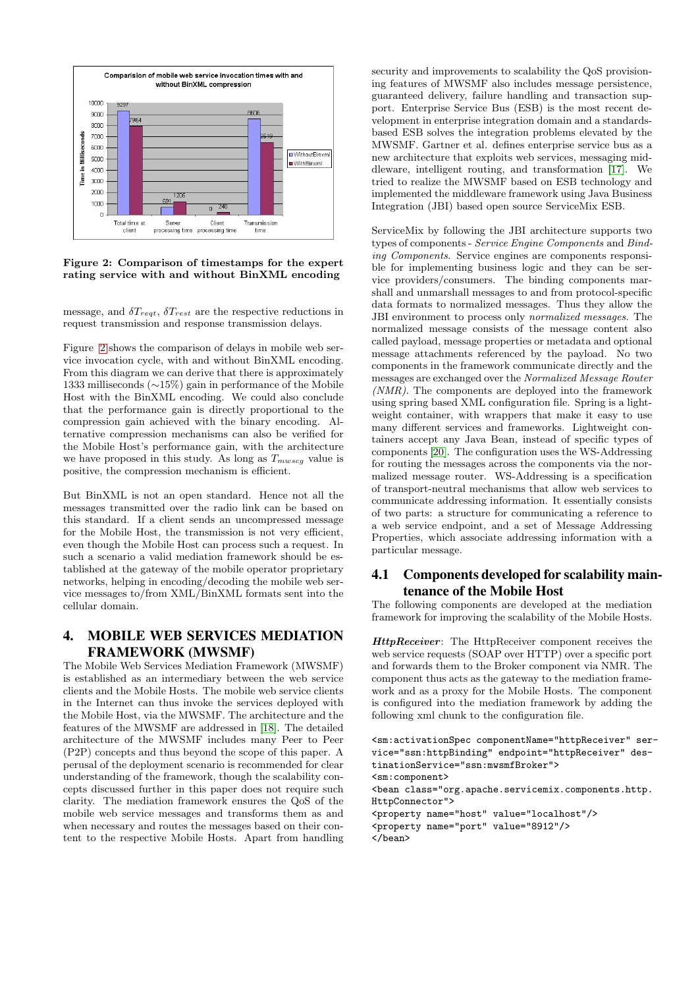

<span id="page-3-0"></span>Figure 2: Comparison of timestamps for the expert rating service with and without BinXML encoding

message, and  $\delta T_{\text{regt}}$ ,  $\delta T_{\text{rest}}$  are the respective reductions in request transmission and response transmission delays.

Figure [2](#page-3-0) shows the comparison of delays in mobile web service invocation cycle, with and without BinXML encoding. From this diagram we can derive that there is approximately 1333 milliseconds (∼15%) gain in performance of the Mobile Host with the BinXML encoding. We could also conclude that the performance gain is directly proportional to the compression gain achieved with the binary encoding. Alternative compression mechanisms can also be verified for the Mobile Host's performance gain, with the architecture we have proposed in this study. As long as  $T_{mwscg}$  value is positive, the compression mechanism is efficient.

But BinXML is not an open standard. Hence not all the messages transmitted over the radio link can be based on this standard. If a client sends an uncompressed message for the Mobile Host, the transmission is not very efficient, even though the Mobile Host can process such a request. In such a scenario a valid mediation framework should be established at the gateway of the mobile operator proprietary networks, helping in encoding/decoding the mobile web service messages to/from XML/BinXML formats sent into the cellular domain.

# 4. MOBILE WEB SERVICES MEDIATION FRAMEWORK (MWSMF)

The Mobile Web Services Mediation Framework (MWSMF) is established as an intermediary between the web service clients and the Mobile Hosts. The mobile web service clients in the Internet can thus invoke the services deployed with the Mobile Host, via the MWSMF. The architecture and the features of the MWSMF are addressed in [\[18\]](#page-6-14). The detailed architecture of the MWSMF includes many Peer to Peer (P2P) concepts and thus beyond the scope of this paper. A perusal of the deployment scenario is recommended for clear understanding of the framework, though the scalability concepts discussed further in this paper does not require such clarity. The mediation framework ensures the QoS of the mobile web service messages and transforms them as and when necessary and routes the messages based on their content to the respective Mobile Hosts. Apart from handling

security and improvements to scalability the QoS provisioning features of MWSMF also includes message persistence, guaranteed delivery, failure handling and transaction support. Enterprise Service Bus (ESB) is the most recent development in enterprise integration domain and a standardsbased ESB solves the integration problems elevated by the MWSMF. Gartner et al. defines enterprise service bus as a new architecture that exploits web services, messaging middleware, intelligent routing, and transformation [\[17\]](#page-6-15). We tried to realize the MWSMF based on ESB technology and implemented the middleware framework using Java Business Integration (JBI) based open source ServiceMix ESB.

ServiceMix by following the JBI architecture supports two types of components - Service Engine Components and Binding Components. Service engines are components responsible for implementing business logic and they can be service providers/consumers. The binding components marshall and unmarshall messages to and from protocol-specific data formats to normalized messages. Thus they allow the JBI environment to process only normalized messages. The normalized message consists of the message content also called payload, message properties or metadata and optional message attachments referenced by the payload. No two components in the framework communicate directly and the messages are exchanged over the Normalized Message Router (NMR). The components are deployed into the framework using spring based XML configuration file. Spring is a lightweight container, with wrappers that make it easy to use many different services and frameworks. Lightweight containers accept any Java Bean, instead of specific types of components [\[20\]](#page-6-16). The configuration uses the WS-Addressing for routing the messages across the components via the normalized message router. WS-Addressing is a specification of transport-neutral mechanisms that allow web services to communicate addressing information. It essentially consists of two parts: a structure for communicating a reference to a web service endpoint, and a set of Message Addressing Properties, which associate addressing information with a particular message.

## 4.1 Components developed for scalability maintenance of the Mobile Host

The following components are developed at the mediation framework for improving the scalability of the Mobile Hosts.

HttpReceiver: The HttpReceiver component receives the web service requests (SOAP over HTTP) over a specific port and forwards them to the Broker component via NMR. The component thus acts as the gateway to the mediation framework and as a proxy for the Mobile Hosts. The component is configured into the mediation framework by adding the following xml chunk to the configuration file.

```
<sm:activationSpec componentName="httpReceiver" ser-
vice="ssn:httpBinding" endpoint="httpReceiver" des-
tinationService="ssn:mwsmfBroker">
<sm:component>
<bean class="org.apache.servicemix.components.http.
HttpConnector">
<property name="host" value="localhost"/>
<property name="port" value="8912"/>
</bean>
```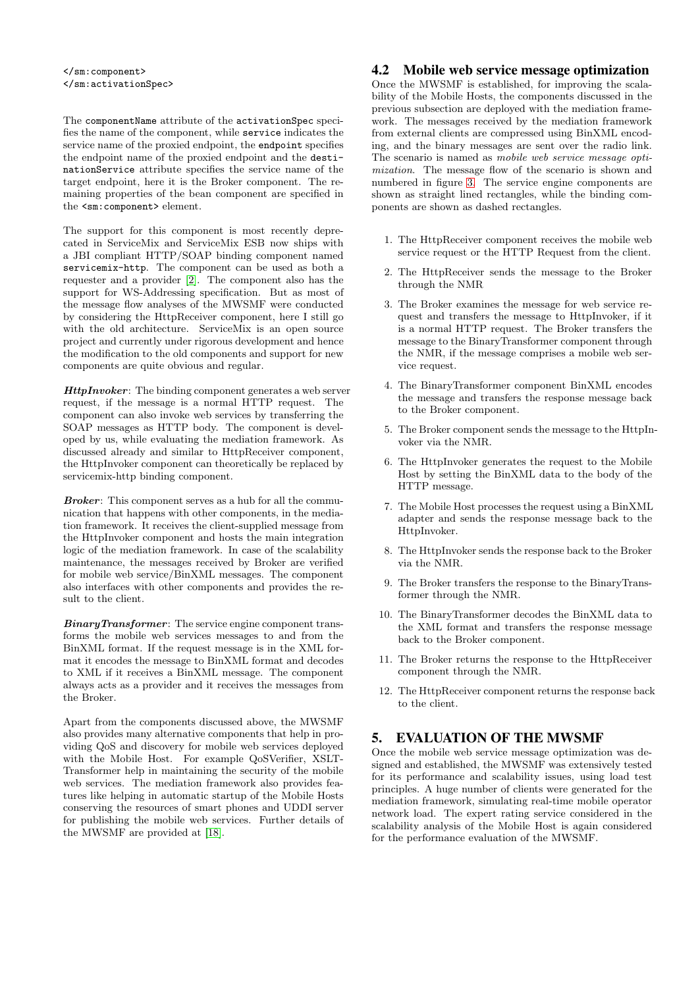The componentName attribute of the activationSpec specifies the name of the component, while service indicates the service name of the proxied endpoint, the endpoint specifies the endpoint name of the proxied endpoint and the destinationService attribute specifies the service name of the target endpoint, here it is the Broker component. The remaining properties of the bean component are specified in the <sm:component> element.

The support for this component is most recently deprecated in ServiceMix and ServiceMix ESB now ships with a JBI compliant HTTP/SOAP binding component named servicemix-http. The component can be used as both a requester and a provider [\[2\]](#page-6-17). The component also has the support for WS-Addressing specification. But as most of the message flow analyses of the MWSMF were conducted by considering the HttpReceiver component, here I still go with the old architecture. ServiceMix is an open source project and currently under rigorous development and hence the modification to the old components and support for new components are quite obvious and regular.

HttpInvoker: The binding component generates a web server request, if the message is a normal HTTP request. The component can also invoke web services by transferring the SOAP messages as HTTP body. The component is developed by us, while evaluating the mediation framework. As discussed already and similar to HttpReceiver component, the HttpInvoker component can theoretically be replaced by servicemix-http binding component.

Broker: This component serves as a hub for all the communication that happens with other components, in the mediation framework. It receives the client-supplied message from the HttpInvoker component and hosts the main integration logic of the mediation framework. In case of the scalability maintenance, the messages received by Broker are verified for mobile web service/BinXML messages. The component also interfaces with other components and provides the result to the client.

BinaryTransformer: The service engine component transforms the mobile web services messages to and from the BinXML format. If the request message is in the XML format it encodes the message to BinXML format and decodes to XML if it receives a BinXML message. The component always acts as a provider and it receives the messages from the Broker.

Apart from the components discussed above, the MWSMF also provides many alternative components that help in providing QoS and discovery for mobile web services deployed with the Mobile Host. For example QoSVerifier, XSLT-Transformer help in maintaining the security of the mobile web services. The mediation framework also provides features like helping in automatic startup of the Mobile Hosts conserving the resources of smart phones and UDDI server for publishing the mobile web services. Further details of the MWSMF are provided at [\[18\]](#page-6-14).

## 4.2 Mobile web service message optimization

Once the MWSMF is established, for improving the scalability of the Mobile Hosts, the components discussed in the previous subsection are deployed with the mediation framework. The messages received by the mediation framework from external clients are compressed using BinXML encoding, and the binary messages are sent over the radio link. The scenario is named as mobile web service message optimization. The message flow of the scenario is shown and numbered in figure [3.](#page-5-0) The service engine components are shown as straight lined rectangles, while the binding components are shown as dashed rectangles.

- 1. The HttpReceiver component receives the mobile web service request or the HTTP Request from the client.
- 2. The HttpReceiver sends the message to the Broker through the NMR
- 3. The Broker examines the message for web service request and transfers the message to HttpInvoker, if it is a normal HTTP request. The Broker transfers the message to the BinaryTransformer component through the NMR, if the message comprises a mobile web service request.
- 4. The BinaryTransformer component BinXML encodes the message and transfers the response message back to the Broker component.
- 5. The Broker component sends the message to the HttpInvoker via the NMR.
- 6. The HttpInvoker generates the request to the Mobile Host by setting the BinXML data to the body of the HTTP message.
- 7. The Mobile Host processes the request using a BinXML adapter and sends the response message back to the HttpInvoker.
- 8. The HttpInvoker sends the response back to the Broker via the NMR.
- 9. The Broker transfers the response to the BinaryTransformer through the NMR.
- 10. The BinaryTransformer decodes the BinXML data to the XML format and transfers the response message back to the Broker component.
- 11. The Broker returns the response to the HttpReceiver component through the NMR.
- 12. The HttpReceiver component returns the response back to the client.

## 5. EVALUATION OF THE MWSMF

Once the mobile web service message optimization was designed and established, the MWSMF was extensively tested for its performance and scalability issues, using load test principles. A huge number of clients were generated for the mediation framework, simulating real-time mobile operator network load. The expert rating service considered in the scalability analysis of the Mobile Host is again considered for the performance evaluation of the MWSMF.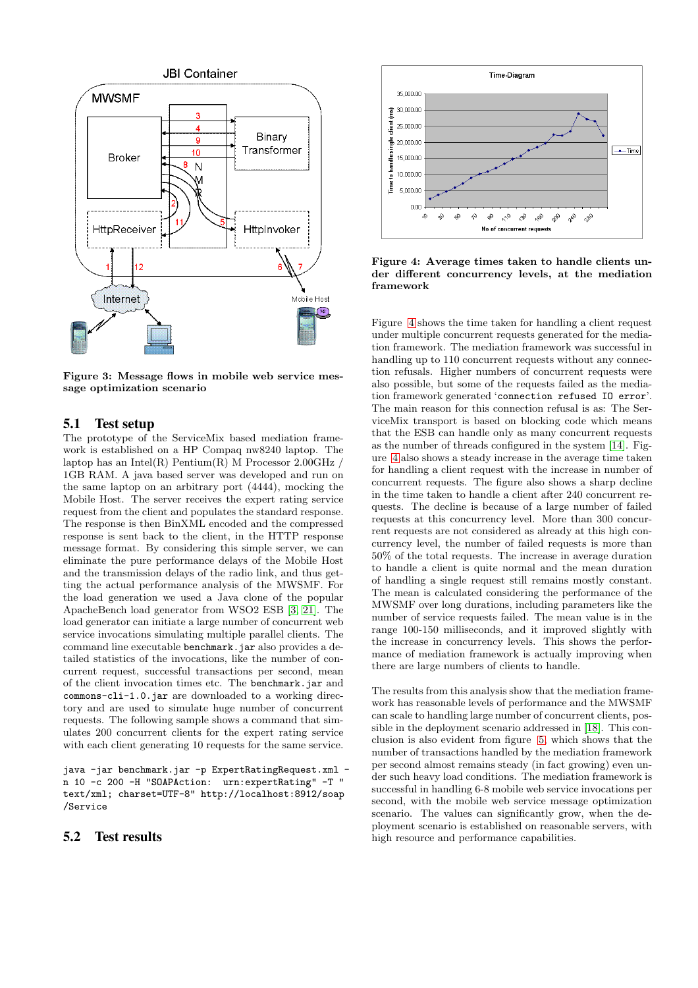

<span id="page-5-0"></span>Figure 3: Message flows in mobile web service message optimization scenario

#### 5.1 Test setup

The prototype of the ServiceMix based mediation framework is established on a HP Compaq nw8240 laptop. The laptop has an Intel(R) Pentium(R) M Processor  $2.00 \text{GHz}$  / 1GB RAM. A java based server was developed and run on the same laptop on an arbitrary port (4444), mocking the Mobile Host. The server receives the expert rating service request from the client and populates the standard response. The response is then BinXML encoded and the compressed response is sent back to the client, in the HTTP response message format. By considering this simple server, we can eliminate the pure performance delays of the Mobile Host and the transmission delays of the radio link, and thus getting the actual performance analysis of the MWSMF. For the load generation we used a Java clone of the popular ApacheBench load generator from WSO2 ESB [\[3,](#page-6-18) [21\]](#page-6-19). The load generator can initiate a large number of concurrent web service invocations simulating multiple parallel clients. The command line executable benchmark.jar also provides a detailed statistics of the invocations, like the number of concurrent request, successful transactions per second, mean of the client invocation times etc. The benchmark.jar and commons-cli-1.0.jar are downloaded to a working directory and are used to simulate huge number of concurrent requests. The following sample shows a command that simulates 200 concurrent clients for the expert rating service with each client generating 10 requests for the same service.

java -jar benchmark.jar -p ExpertRatingRequest.xml n 10 -c 200 -H "SOAPAction: urn:expertRating" -T " text/xml; charset=UTF-8" http://localhost:8912/soap /Service

#### 5.2 Test results



<span id="page-5-1"></span>Figure 4: Average times taken to handle clients under different concurrency levels, at the mediation framework

Figure [4](#page-5-1) shows the time taken for handling a client request under multiple concurrent requests generated for the mediation framework. The mediation framework was successful in handling up to 110 concurrent requests without any connection refusals. Higher numbers of concurrent requests were also possible, but some of the requests failed as the mediation framework generated 'connection refused IO error'. The main reason for this connection refusal is as: The ServiceMix transport is based on blocking code which means that the ESB can handle only as many concurrent requests as the number of threads configured in the system [\[14\]](#page-6-20). Figure [4](#page-5-1) also shows a steady increase in the average time taken for handling a client request with the increase in number of concurrent requests. The figure also shows a sharp decline in the time taken to handle a client after 240 concurrent requests. The decline is because of a large number of failed requests at this concurrency level. More than 300 concurrent requests are not considered as already at this high concurrency level, the number of failed requests is more than 50% of the total requests. The increase in average duration to handle a client is quite normal and the mean duration of handling a single request still remains mostly constant. The mean is calculated considering the performance of the MWSMF over long durations, including parameters like the number of service requests failed. The mean value is in the range 100-150 milliseconds, and it improved slightly with the increase in concurrency levels. This shows the performance of mediation framework is actually improving when there are large numbers of clients to handle.

The results from this analysis show that the mediation framework has reasonable levels of performance and the MWSMF can scale to handling large number of concurrent clients, possible in the deployment scenario addressed in [\[18\]](#page-6-14). This conclusion is also evident from figure [5,](#page-6-21) which shows that the number of transactions handled by the mediation framework per second almost remains steady (in fact growing) even under such heavy load conditions. The mediation framework is successful in handling 6-8 mobile web service invocations per second, with the mobile web service message optimization scenario. The values can significantly grow, when the deployment scenario is established on reasonable servers, with high resource and performance capabilities.